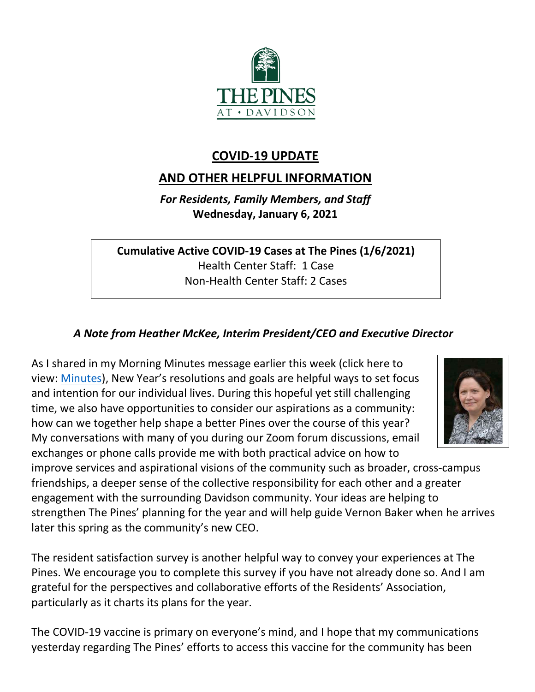

# **COVID-19 UPDATE**

# **AND OTHER HELPFUL INFORMATION**

*For Residents, Family Members, and Staff* **Wednesday, January 6, 2021**

**Cumulative Active COVID-19 Cases at The Pines (1/6/2021)** Health Center Staff: 1 Case Non-Health Center Staff: 2 Cases

# *A Note from Heather McKee, Interim President/CEO and Executive Director*

As I shared in my Morning Minutes message earlier this week (click here to view: [Minutes\)](https://youtu.be/dOfhek2eOPY), New Year's resolutions and goals are helpful ways to set focus and intention for our individual lives. During this hopeful yet still challenging time, we also have opportunities to consider our aspirations as a community: how can we together help shape a better Pines over the course of this year? My conversations with many of you during our Zoom forum discussions, email exchanges or phone calls provide me with both practical advice on how to



improve services and aspirational visions of the community such as broader, cross-campus friendships, a deeper sense of the collective responsibility for each other and a greater engagement with the surrounding Davidson community. Your ideas are helping to strengthen The Pines' planning for the year and will help guide Vernon Baker when he arrives later this spring as the community's new CEO.

The resident satisfaction survey is another helpful way to convey your experiences at The Pines. We encourage you to complete this survey if you have not already done so. And I am grateful for the perspectives and collaborative efforts of the Residents' Association, particularly as it charts its plans for the year.

The COVID-19 vaccine is primary on everyone's mind, and I hope that my communications yesterday regarding The Pines' efforts to access this vaccine for the community has been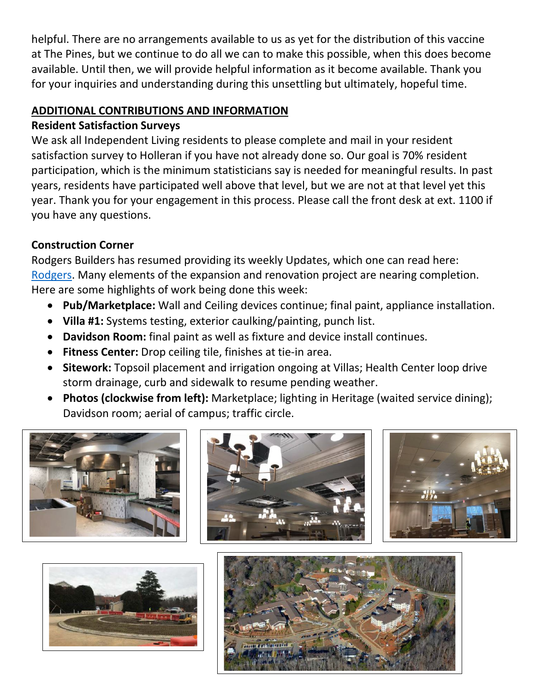helpful. There are no arrangements available to us as yet for the distribution of this vaccine at The Pines, but we continue to do all we can to make this possible, when this does become available. Until then, we will provide helpful information as it become available. Thank you for your inquiries and understanding during this unsettling but ultimately, hopeful time.

## **ADDITIONAL CONTRIBUTIONS AND INFORMATION**

### **Resident Satisfaction Surveys**

We ask all Independent Living residents to please complete and mail in your resident satisfaction survey to Holleran if you have not already done so. Our goal is 70% resident participation, which is the minimum statisticians say is needed for meaningful results. In past years, residents have participated well above that level, but we are not at that level yet this year. Thank you for your engagement in this process. Please call the front desk at ext. 1100 if you have any questions.

# **Construction Corner**

Rodgers Builders has resumed providing its weekly Updates, which one can read here: [Rodgers.](https://www.mycommunity-center.com/filephotos/463/2020-12-31%20Weekly%20Update.pdf) Many elements of the expansion and renovation project are nearing completion. Here are some highlights of work being done this week:

- **Pub/Marketplace:** Wall and Ceiling devices continue; final paint, appliance installation.
- **Villa #1:** Systems testing, exterior caulking/painting, punch list.
- **Davidson Room:** final paint as well as fixture and device install continues.
- **Fitness Center:** Drop ceiling tile, finishes at tie-in area.
- **Sitework:** Topsoil placement and irrigation ongoing at Villas; Health Center loop drive storm drainage, curb and sidewalk to resume pending weather.
- **Photos (clockwise from left):** Marketplace; lighting in Heritage (waited service dining); Davidson room; aerial of campus; traffic circle.